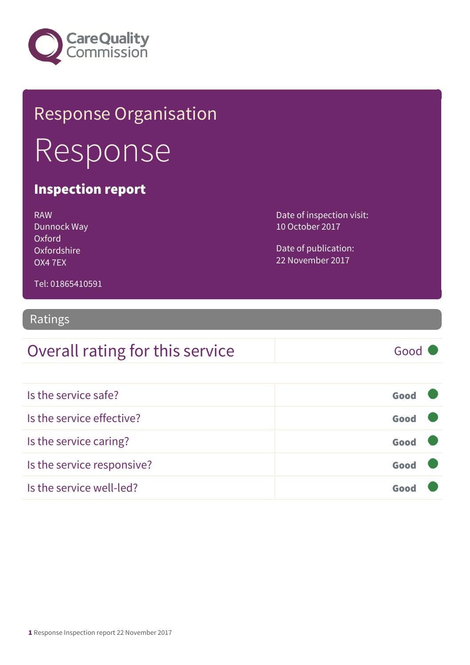

## Response Organisation Response

#### Inspection report

| RAW         |
|-------------|
| Dunnock Way |
| Oxford      |
| Oxfordshire |
| OX4 7FX     |

Date of inspection visit: 10 October 2017

Date of publication: 22 November 2017

Tel: 01865410591

#### Ratings

#### Overall rating for this service Good

| Is the service safe?       | Good |  |
|----------------------------|------|--|
| Is the service effective?  | Good |  |
| Is the service caring?     | Good |  |
| Is the service responsive? | Good |  |
| Is the service well-led?   | Goor |  |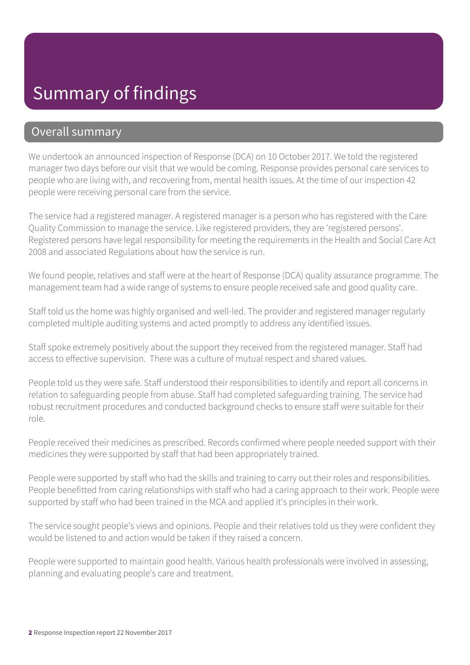#### Summary of findings

#### Overall summary

We undertook an announced inspection of Response (DCA) on 10 October 2017. We told the registered manager two days before our visit that we would be coming. Response provides personal care services to people who are living with, and recovering from, mental health issues. At the time of our inspection 42 people were receiving personal care from the service.

The service had a registered manager. A registered manager is a person who has registered with the Care Quality Commission to manage the service. Like registered providers, they are 'registered persons'. Registered persons have legal responsibility for meeting the requirements in the Health and Social Care Act 2008 and associated Regulations about how the service is run.

We found people, relatives and staff were at the heart of Response (DCA) quality assurance programme. The management team had a wide range of systems to ensure people received safe and good quality care.

Staff told us the home was highly organised and well-led. The provider and registered manager regularly completed multiple auditing systems and acted promptly to address any identified issues.

Staff spoke extremely positively about the support they received from the registered manager. Staff had access to effective supervision. There was a culture of mutual respect and shared values.

People told us they were safe. Staff understood their responsibilities to identify and report all concerns in relation to safeguarding people from abuse. Staff had completed safeguarding training. The service had robust recruitment procedures and conducted background checks to ensure staff were suitable for their role.

People received their medicines as prescribed. Records confirmed where people needed support with their medicines they were supported by staff that had been appropriately trained.

People were supported by staff who had the skills and training to carry out their roles and responsibilities. People benefitted from caring relationships with staff who had a caring approach to their work. People were supported by staff who had been trained in the MCA and applied it's principles in their work.

The service sought people's views and opinions. People and their relatives told us they were confident they would be listened to and action would be taken if they raised a concern.

People were supported to maintain good health. Various health professionals were involved in assessing, planning and evaluating people's care and treatment.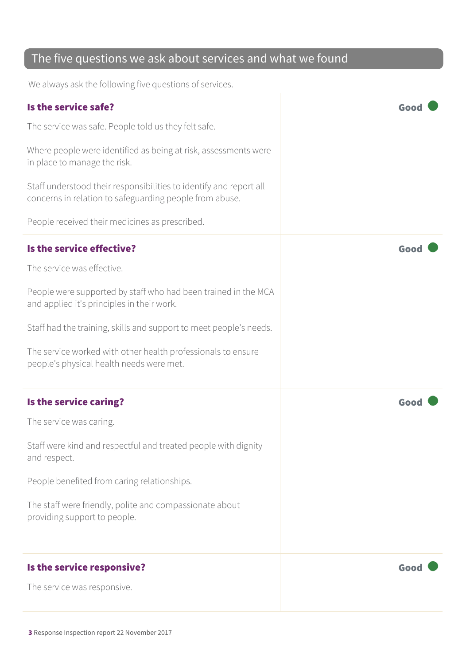#### The five questions we ask about services and what we found

We always ask the following five questions of services.

| Is the service safe?                                                                                                          | Good |
|-------------------------------------------------------------------------------------------------------------------------------|------|
| The service was safe. People told us they felt safe.                                                                          |      |
| Where people were identified as being at risk, assessments were<br>in place to manage the risk.                               |      |
| Staff understood their responsibilities to identify and report all<br>concerns in relation to safeguarding people from abuse. |      |
| People received their medicines as prescribed.                                                                                |      |
| Is the service effective?                                                                                                     | Good |
| The service was effective.                                                                                                    |      |
| People were supported by staff who had been trained in the MCA<br>and applied it's principles in their work.                  |      |
| Staff had the training, skills and support to meet people's needs.                                                            |      |
| The service worked with other health professionals to ensure<br>people's physical health needs were met.                      |      |
| Is the service caring?                                                                                                        | Good |
| The service was caring.                                                                                                       |      |
| Staff were kind and respectful and treated people with dignity<br>and respect.                                                |      |
| People benefited from caring relationships.                                                                                   |      |
| The staff were friendly, polite and compassionate about<br>providing support to people.                                       |      |
| Is the service responsive?                                                                                                    | Good |
| The service was responsive.                                                                                                   |      |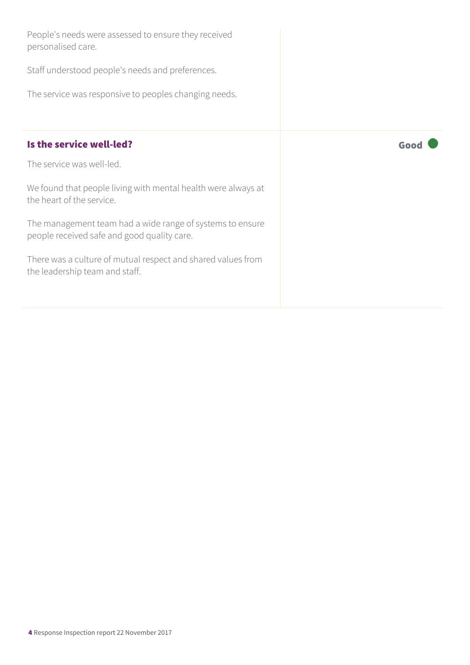| People's needs were assessed to ensure they received<br>personalised care.                               |      |
|----------------------------------------------------------------------------------------------------------|------|
| Staff understood people's needs and preferences.                                                         |      |
| The service was responsive to peoples changing needs.                                                    |      |
|                                                                                                          |      |
| Is the service well-led?                                                                                 | Good |
| The service was well-led.                                                                                |      |
| We found that people living with mental health were always at<br>the heart of the service.               |      |
| The management team had a wide range of systems to ensure<br>people received safe and good quality care. |      |
| There was a culture of mutual respect and shared values from<br>the leadership team and staff.           |      |
|                                                                                                          |      |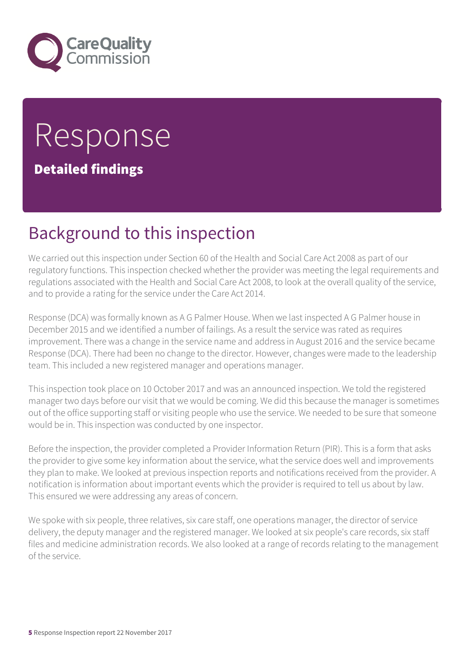

# Response

Detailed findings

## Background to this inspection

We carried out this inspection under Section 60 of the Health and Social Care Act 2008 as part of our regulatory functions. This inspection checked whether the provider was meeting the legal requirements and regulations associated with the Health and Social Care Act 2008, to look at the overall quality of the service, and to provide a rating for the service under the Care Act 2014.

Response (DCA) was formally known as A G Palmer House. When we last inspected A G Palmer house in December 2015 and we identified a number of failings. As a result the service was rated as requires improvement. There was a change in the service name and address in August 2016 and the service became Response (DCA). There had been no change to the director. However, changes were made to the leadership team. This included a new registered manager and operations manager.

This inspection took place on 10 October 2017 and was an announced inspection. We told the registered manager two days before our visit that we would be coming. We did this because the manager is sometimes out of the office supporting staff or visiting people who use the service. We needed to be sure that someone would be in. This inspection was conducted by one inspector.

Before the inspection, the provider completed a Provider Information Return (PIR). This is a form that asks the provider to give some key information about the service, what the service does well and improvements they plan to make. We looked at previous inspection reports and notifications received from the provider. A notification is information about important events which the provider is required to tell us about by law. This ensured we were addressing any areas of concern.

We spoke with six people, three relatives, six care staff, one operations manager, the director of service delivery, the deputy manager and the registered manager. We looked at six people's care records, six staff files and medicine administration records. We also looked at a range of records relating to the management of the service.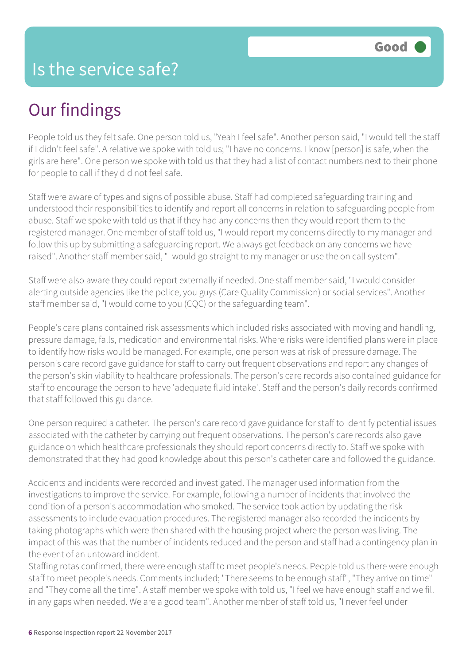## Our findings

People told us they felt safe. One person told us, "Yeah I feel safe". Another person said, "I would tell the staff if I didn't feel safe". A relative we spoke with told us; "I have no concerns. I know [person] is safe, when the girls are here". One person we spoke with told us that they had a list of contact numbers next to their phone for people to call if they did not feel safe.

Staff were aware of types and signs of possible abuse. Staff had completed safeguarding training and understood their responsibilities to identify and report all concerns in relation to safeguarding people from abuse. Staff we spoke with told us that if they had any concerns then they would report them to the registered manager. One member of staff told us, "I would report my concerns directly to my manager and follow this up by submitting a safeguarding report. We always get feedback on any concerns we have raised". Another staff member said, "I would go straight to my manager or use the on call system".

Staff were also aware they could report externally if needed. One staff member said, "I would consider alerting outside agencies like the police, you guys (Care Quality Commission) or social services". Another staff member said, "I would come to you (CQC) or the safeguarding team".

People's care plans contained risk assessments which included risks associated with moving and handling, pressure damage, falls, medication and environmental risks. Where risks were identified plans were in place to identify how risks would be managed. For example, one person was at risk of pressure damage. The person's care record gave guidance for staff to carry out frequent observations and report any changes of the person's skin viability to healthcare professionals. The person's care records also contained guidance for staff to encourage the person to have 'adequate fluid intake'. Staff and the person's daily records confirmed that staff followed this guidance.

One person required a catheter. The person's care record gave guidance for staff to identify potential issues associated with the catheter by carrying out frequent observations. The person's care records also gave guidance on which healthcare professionals they should report concerns directly to. Staff we spoke with demonstrated that they had good knowledge about this person's catheter care and followed the guidance.

Accidents and incidents were recorded and investigated. The manager used information from the investigations to improve the service. For example, following a number of incidents that involved the condition of a person's accommodation who smoked. The service took action by updating the risk assessments to include evacuation procedures. The registered manager also recorded the incidents by taking photographs which were then shared with the housing project where the person was living. The impact of this was that the number of incidents reduced and the person and staff had a contingency plan in the event of an untoward incident.

Staffing rotas confirmed, there were enough staff to meet people's needs. People told us there were enough staff to meet people's needs. Comments included; "There seems to be enough staff", "They arrive on time" and "They come all the time". A staff member we spoke with told us, "I feel we have enough staff and we fill in any gaps when needed. We are a good team". Another member of staff told us, "I never feel under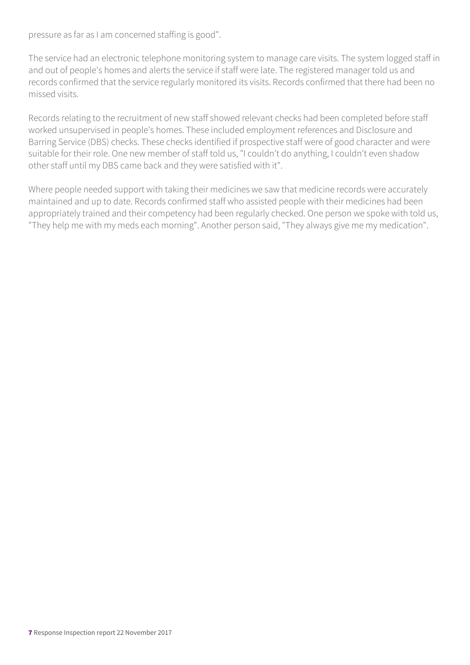pressure as far as I am concerned staffing is good".

The service had an electronic telephone monitoring system to manage care visits. The system logged staff in and out of people's homes and alerts the service if staff were late. The registered manager told us and records confirmed that the service regularly monitored its visits. Records confirmed that there had been no missed visits.

Records relating to the recruitment of new staff showed relevant checks had been completed before staff worked unsupervised in people's homes. These included employment references and Disclosure and Barring Service (DBS) checks. These checks identified if prospective staff were of good character and were suitable for their role. One new member of staff told us, "I couldn't do anything, I couldn't even shadow other staff until my DBS came back and they were satisfied with it".

Where people needed support with taking their medicines we saw that medicine records were accurately maintained and up to date. Records confirmed staff who assisted people with their medicines had been appropriately trained and their competency had been regularly checked. One person we spoke with told us, "They help me with my meds each morning". Another person said, "They always give me my medication".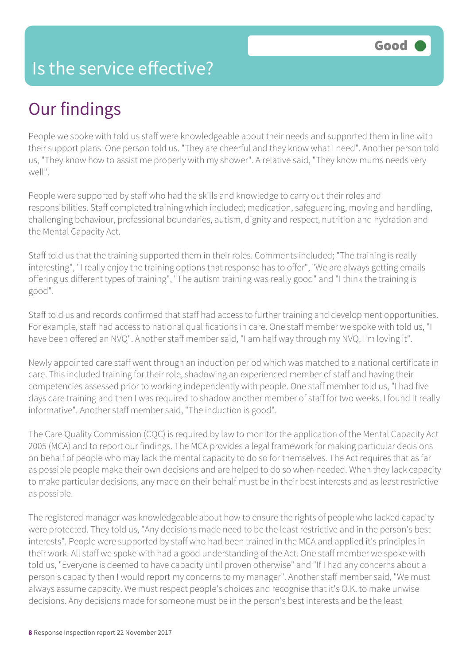#### Is the service effective?

## Our findings

People we spoke with told us staff were knowledgeable about their needs and supported them in line with their support plans. One person told us. "They are cheerful and they know what I need". Another person told us, "They know how to assist me properly with my shower". A relative said, "They know mums needs very well".

People were supported by staff who had the skills and knowledge to carry out their roles and responsibilities. Staff completed training which included; medication, safeguarding, moving and handling, challenging behaviour, professional boundaries, autism, dignity and respect, nutrition and hydration and the Mental Capacity Act.

Staff told us that the training supported them in their roles. Comments included; "The training is really interesting", "I really enjoy the training options that response has to offer", "We are always getting emails offering us different types of training", "The autism training was really good" and "I think the training is good".

Staff told us and records confirmed that staff had access to further training and development opportunities. For example, staff had access to national qualifications in care. One staff member we spoke with told us, "I have been offered an NVQ". Another staff member said, "I am half way through my NVQ, I'm loving it".

Newly appointed care staff went through an induction period which was matched to a national certificate in care. This included training for their role, shadowing an experienced member of staff and having their competencies assessed prior to working independently with people. One staff member told us, "I had five days care training and then I was required to shadow another member of staff for two weeks. I found it really informative". Another staff member said, "The induction is good".

The Care Quality Commission (CQC) is required by law to monitor the application of the Mental Capacity Act 2005 (MCA) and to report our findings. The MCA provides a legal framework for making particular decisions on behalf of people who may lack the mental capacity to do so for themselves. The Act requires that as far as possible people make their own decisions and are helped to do so when needed. When they lack capacity to make particular decisions, any made on their behalf must be in their best interests and as least restrictive as possible.

The registered manager was knowledgeable about how to ensure the rights of people who lacked capacity were protected. They told us, "Any decisions made need to be the least restrictive and in the person's best interests". People were supported by staff who had been trained in the MCA and applied it's principles in their work. All staff we spoke with had a good understanding of the Act. One staff member we spoke with told us, "Everyone is deemed to have capacity until proven otherwise" and "If I had any concerns about a person's capacity then I would report my concerns to my manager". Another staff member said, "We must always assume capacity. We must respect people's choices and recognise that it's O.K. to make unwise decisions. Any decisions made for someone must be in the person's best interests and be the least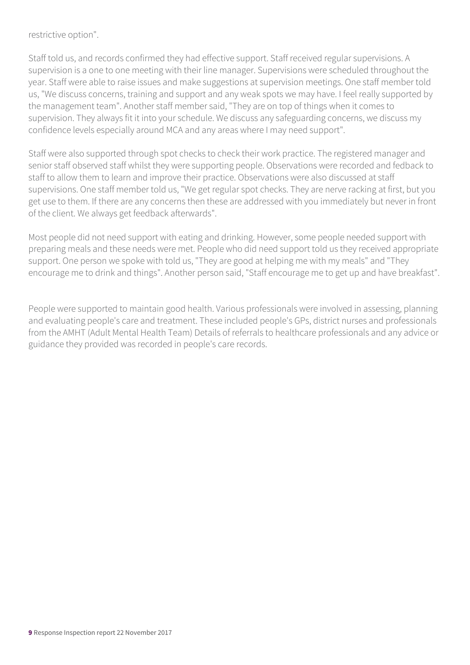restrictive option".

Staff told us, and records confirmed they had effective support. Staff received regular supervisions. A supervision is a one to one meeting with their line manager. Supervisions were scheduled throughout the year. Staff were able to raise issues and make suggestions at supervision meetings. One staff member told us, "We discuss concerns, training and support and any weak spots we may have. I feel really supported by the management team". Another staff member said, "They are on top of things when it comes to supervision. They always fit it into your schedule. We discuss any safeguarding concerns, we discuss my confidence levels especially around MCA and any areas where I may need support".

Staff were also supported through spot checks to check their work practice. The registered manager and senior staff observed staff whilst they were supporting people. Observations were recorded and fedback to staff to allow them to learn and improve their practice. Observations were also discussed at staff supervisions. One staff member told us, "We get regular spot checks. They are nerve racking at first, but you get use to them. If there are any concerns then these are addressed with you immediately but never in front of the client. We always get feedback afterwards".

Most people did not need support with eating and drinking. However, some people needed support with preparing meals and these needs were met. People who did need support told us they received appropriate support. One person we spoke with told us, "They are good at helping me with my meals" and "They encourage me to drink and things". Another person said, "Staff encourage me to get up and have breakfast".

People were supported to maintain good health. Various professionals were involved in assessing, planning and evaluating people's care and treatment. These included people's GPs, district nurses and professionals from the AMHT (Adult Mental Health Team) Details of referrals to healthcare professionals and any advice or guidance they provided was recorded in people's care records.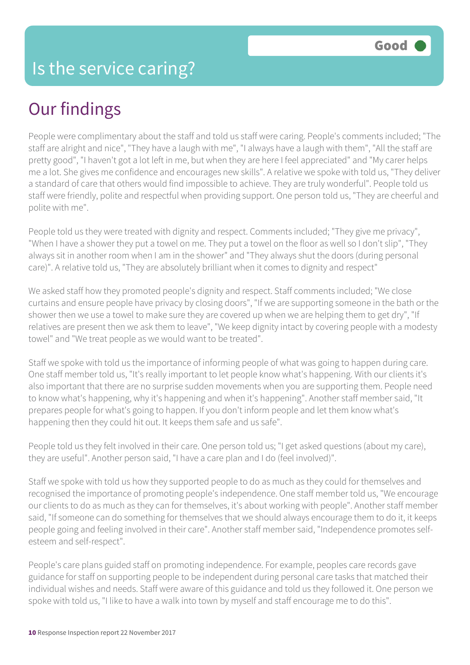### Our findings

People were complimentary about the staff and told us staff were caring. People's comments included; "The staff are alright and nice", "They have a laugh with me", "I always have a laugh with them", "All the staff are pretty good", "I haven't got a lot left in me, but when they are here I feel appreciated" and "My carer helps me a lot. She gives me confidence and encourages new skills". A relative we spoke with told us, "They deliver a standard of care that others would find impossible to achieve. They are truly wonderful". People told us staff were friendly, polite and respectful when providing support. One person told us, "They are cheerful and polite with me".

People told us they were treated with dignity and respect. Comments included; "They give me privacy", "When I have a shower they put a towel on me. They put a towel on the floor as well so I don't slip", "They always sit in another room when I am in the shower" and "They always shut the doors (during personal care)". A relative told us, "They are absolutely brilliant when it comes to dignity and respect"

We asked staff how they promoted people's dignity and respect. Staff comments included; "We close curtains and ensure people have privacy by closing doors", "If we are supporting someone in the bath or the shower then we use a towel to make sure they are covered up when we are helping them to get dry", "If relatives are present then we ask them to leave", "We keep dignity intact by covering people with a modesty towel" and "We treat people as we would want to be treated".

Staff we spoke with told us the importance of informing people of what was going to happen during care. One staff member told us, "It's really important to let people know what's happening. With our clients it's also important that there are no surprise sudden movements when you are supporting them. People need to know what's happening, why it's happening and when it's happening". Another staff member said, "It prepares people for what's going to happen. If you don't inform people and let them know what's happening then they could hit out. It keeps them safe and us safe".

People told us they felt involved in their care. One person told us; "I get asked questions (about my care), they are useful". Another person said, "I have a care plan and I do (feel involved)".

Staff we spoke with told us how they supported people to do as much as they could for themselves and recognised the importance of promoting people's independence. One staff member told us, "We encourage our clients to do as much as they can for themselves, it's about working with people". Another staff member said, "If someone can do something for themselves that we should always encourage them to do it, it keeps people going and feeling involved in their care". Another staff member said, "Independence promotes selfesteem and self-respect".

People's care plans guided staff on promoting independence. For example, peoples care records gave guidance for staff on supporting people to be independent during personal care tasks that matched their individual wishes and needs. Staff were aware of this guidance and told us they followed it. One person we spoke with told us, "I like to have a walk into town by myself and staff encourage me to do this".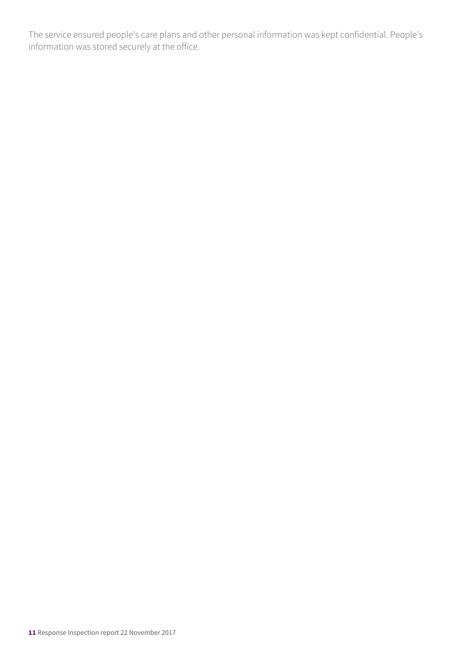The service ensured people's care plans and other personal information was kept confidential. People's information was stored securely at the office.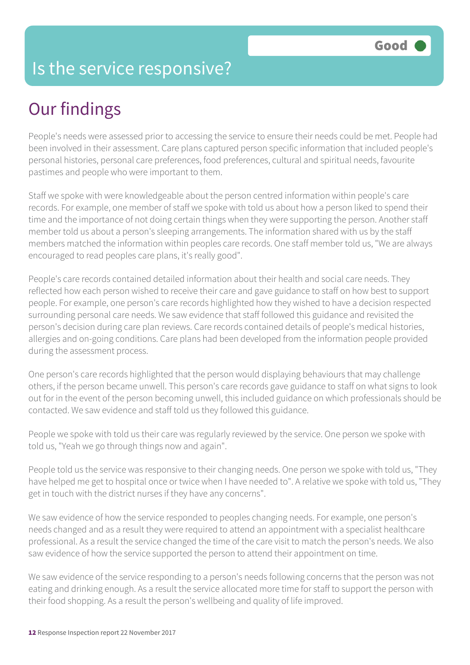#### Is the service responsive?

## Our findings

People's needs were assessed prior to accessing the service to ensure their needs could be met. People had been involved in their assessment. Care plans captured person specific information that included people's personal histories, personal care preferences, food preferences, cultural and spiritual needs, favourite pastimes and people who were important to them.

Staff we spoke with were knowledgeable about the person centred information within people's care records. For example, one member of staff we spoke with told us about how a person liked to spend their time and the importance of not doing certain things when they were supporting the person. Another staff member told us about a person's sleeping arrangements. The information shared with us by the staff members matched the information within peoples care records. One staff member told us, "We are always encouraged to read peoples care plans, it's really good".

People's care records contained detailed information about their health and social care needs. They reflected how each person wished to receive their care and gave guidance to staff on how best to support people. For example, one person's care records highlighted how they wished to have a decision respected surrounding personal care needs. We saw evidence that staff followed this guidance and revisited the person's decision during care plan reviews. Care records contained details of people's medical histories, allergies and on-going conditions. Care plans had been developed from the information people provided during the assessment process.

One person's care records highlighted that the person would displaying behaviours that may challenge others, if the person became unwell. This person's care records gave guidance to staff on what signs to look out for in the event of the person becoming unwell, this included guidance on which professionals should be contacted. We saw evidence and staff told us they followed this guidance.

People we spoke with told us their care was regularly reviewed by the service. One person we spoke with told us, "Yeah we go through things now and again".

People told us the service was responsive to their changing needs. One person we spoke with told us, "They have helped me get to hospital once or twice when I have needed to". A relative we spoke with told us, "They get in touch with the district nurses if they have any concerns".

We saw evidence of how the service responded to peoples changing needs. For example, one person's needs changed and as a result they were required to attend an appointment with a specialist healthcare professional. As a result the service changed the time of the care visit to match the person's needs. We also saw evidence of how the service supported the person to attend their appointment on time.

We saw evidence of the service responding to a person's needs following concerns that the person was not eating and drinking enough. As a result the service allocated more time for staff to support the person with their food shopping. As a result the person's wellbeing and quality of life improved.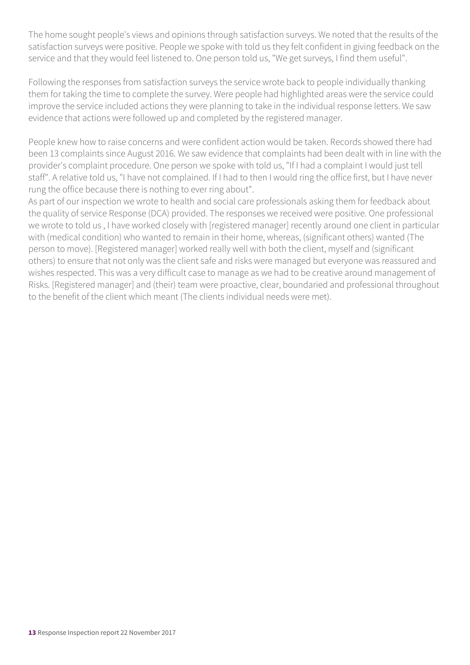The home sought people's views and opinions through satisfaction surveys. We noted that the results of the satisfaction surveys were positive. People we spoke with told us they felt confident in giving feedback on the service and that they would feel listened to. One person told us, "We get surveys, I find them useful".

Following the responses from satisfaction surveys the service wrote back to people individually thanking them for taking the time to complete the survey. Were people had highlighted areas were the service could improve the service included actions they were planning to take in the individual response letters. We saw evidence that actions were followed up and completed by the registered manager.

People knew how to raise concerns and were confident action would be taken. Records showed there had been 13 complaints since August 2016. We saw evidence that complaints had been dealt with in line with the provider's complaint procedure. One person we spoke with told us, "If I had a complaint I would just tell staff". A relative told us, "I have not complained. If I had to then I would ring the office first, but I have never rung the office because there is nothing to ever ring about".

As part of our inspection we wrote to health and social care professionals asking them for feedback about the quality of service Response (DCA) provided. The responses we received were positive. One professional we wrote to told us , I have worked closely with [registered manager] recently around one client in particular with (medical condition) who wanted to remain in their home, whereas, (significant others) wanted (The person to move). [Registered manager] worked really well with both the client, myself and (significant others) to ensure that not only was the client safe and risks were managed but everyone was reassured and wishes respected. This was a very difficult case to manage as we had to be creative around management of Risks. [Registered manager] and (their) team were proactive, clear, boundaried and professional throughout to the benefit of the client which meant (The clients individual needs were met).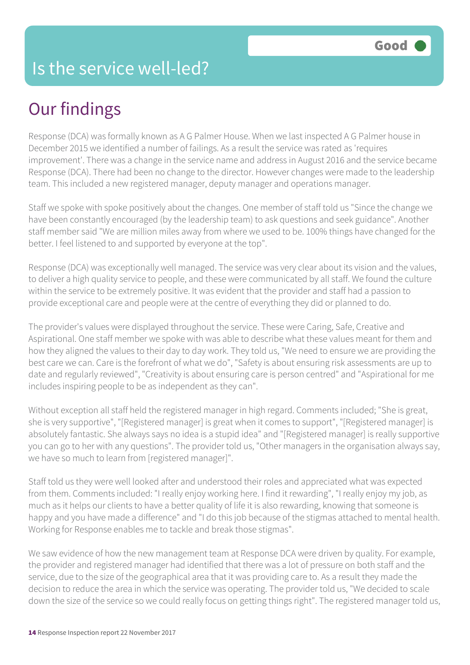## Our findings

Response (DCA) was formally known as A G Palmer House. When we last inspected A G Palmer house in December 2015 we identified a number of failings. As a result the service was rated as 'requires improvement'. There was a change in the service name and address in August 2016 and the service became Response (DCA). There had been no change to the director. However changes were made to the leadership team. This included a new registered manager, deputy manager and operations manager.

Staff we spoke with spoke positively about the changes. One member of staff told us "Since the change we have been constantly encouraged (by the leadership team) to ask questions and seek guidance". Another staff member said "We are million miles away from where we used to be. 100% things have changed for the better. I feel listened to and supported by everyone at the top".

Response (DCA) was exceptionally well managed. The service was very clear about its vision and the values, to deliver a high quality service to people, and these were communicated by all staff. We found the culture within the service to be extremely positive. It was evident that the provider and staff had a passion to provide exceptional care and people were at the centre of everything they did or planned to do.

The provider's values were displayed throughout the service. These were Caring, Safe, Creative and Aspirational. One staff member we spoke with was able to describe what these values meant for them and how they aligned the values to their day to day work. They told us, "We need to ensure we are providing the best care we can. Care is the forefront of what we do", "Safety is about ensuring risk assessments are up to date and regularly reviewed", "Creativity is about ensuring care is person centred" and "Aspirational for me includes inspiring people to be as independent as they can".

Without exception all staff held the registered manager in high regard. Comments included; "She is great, she is very supportive", "[Registered manager] is great when it comes to support", "[Registered manager] is absolutely fantastic. She always says no idea is a stupid idea" and "[Registered manager] is really supportive you can go to her with any questions". The provider told us, "Other managers in the organisation always say, we have so much to learn from [registered manager]".

Staff told us they were well looked after and understood their roles and appreciated what was expected from them. Comments included: "I really enjoy working here. I find it rewarding", "I really enjoy my job, as much as it helps our clients to have a better quality of life it is also rewarding, knowing that someone is happy and you have made a difference" and "I do this job because of the stigmas attached to mental health. Working for Response enables me to tackle and break those stigmas".

We saw evidence of how the new management team at Response DCA were driven by quality. For example, the provider and registered manager had identified that there was a lot of pressure on both staff and the service, due to the size of the geographical area that it was providing care to. As a result they made the decision to reduce the area in which the service was operating. The provider told us, "We decided to scale down the size of the service so we could really focus on getting things right". The registered manager told us,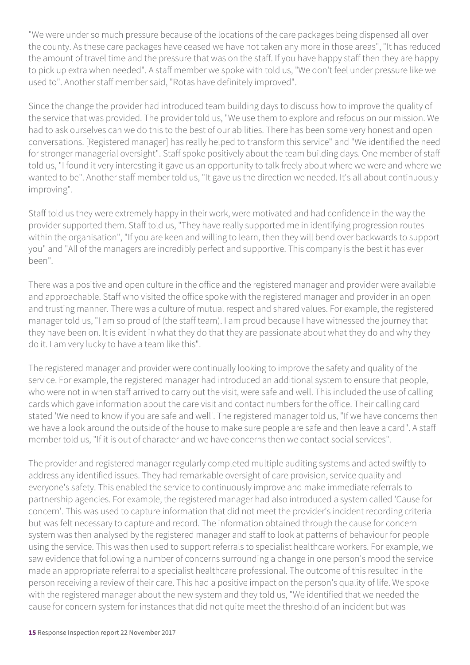"We were under so much pressure because of the locations of the care packages being dispensed all over the county. As these care packages have ceased we have not taken any more in those areas", "It has reduced the amount of travel time and the pressure that was on the staff. If you have happy staff then they are happy to pick up extra when needed". A staff member we spoke with told us, "We don't feel under pressure like we used to". Another staff member said, "Rotas have definitely improved".

Since the change the provider had introduced team building days to discuss how to improve the quality of the service that was provided. The provider told us, "We use them to explore and refocus on our mission. We had to ask ourselves can we do this to the best of our abilities. There has been some very honest and open conversations. [Registered manager] has really helped to transform this service" and "We identified the need for stronger managerial oversight". Staff spoke positively about the team building days. One member of staff told us, "I found it very interesting it gave us an opportunity to talk freely about where we were and where we wanted to be". Another staff member told us, "It gave us the direction we needed. It's all about continuously improving".

Staff told us they were extremely happy in their work, were motivated and had confidence in the way the provider supported them. Staff told us, "They have really supported me in identifying progression routes within the organisation", "If you are keen and willing to learn, then they will bend over backwards to support you" and "All of the managers are incredibly perfect and supportive. This company is the best it has ever been".

There was a positive and open culture in the office and the registered manager and provider were available and approachable. Staff who visited the office spoke with the registered manager and provider in an open and trusting manner. There was a culture of mutual respect and shared values. For example, the registered manager told us, "I am so proud of (the staff team). I am proud because I have witnessed the journey that they have been on. It is evident in what they do that they are passionate about what they do and why they do it. I am very lucky to have a team like this".

The registered manager and provider were continually looking to improve the safety and quality of the service. For example, the registered manager had introduced an additional system to ensure that people, who were not in when staff arrived to carry out the visit, were safe and well. This included the use of calling cards which gave information about the care visit and contact numbers for the office. Their calling card stated 'We need to know if you are safe and well'. The registered manager told us, "If we have concerns then we have a look around the outside of the house to make sure people are safe and then leave a card". A staff member told us, "If it is out of character and we have concerns then we contact social services".

The provider and registered manager regularly completed multiple auditing systems and acted swiftly to address any identified issues. They had remarkable oversight of care provision, service quality and everyone's safety. This enabled the service to continuously improve and make immediate referrals to partnership agencies. For example, the registered manager had also introduced a system called 'Cause for concern'. This was used to capture information that did not meet the provider's incident recording criteria but was felt necessary to capture and record. The information obtained through the cause for concern system was then analysed by the registered manager and staff to look at patterns of behaviour for people using the service. This was then used to support referrals to specialist healthcare workers. For example, we saw evidence that following a number of concerns surrounding a change in one person's mood the service made an appropriate referral to a specialist healthcare professional. The outcome of this resulted in the person receiving a review of their care. This had a positive impact on the person's quality of life. We spoke with the registered manager about the new system and they told us, "We identified that we needed the cause for concern system for instances that did not quite meet the threshold of an incident but was